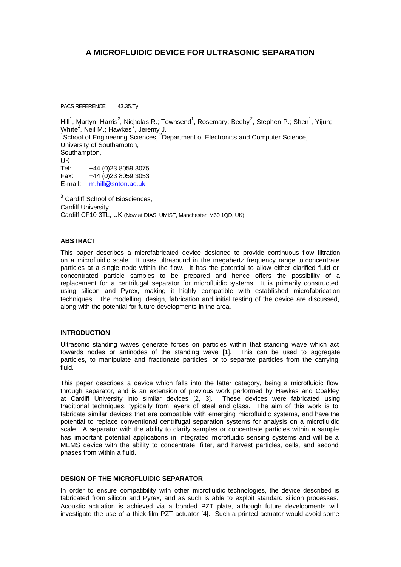# **A MICROFLUIDIC DEVICE FOR ULTRASONIC SEPARATION**

PACS REFERENCE: 43.35.Tv

Hill<sup>1</sup>, Martyn; Harris<sup>2</sup>, Nicholas R.; Townsend<sup>1</sup>, Rosemary; Beeby<sup>2</sup>, Stephen P.; Shen<sup>1</sup>, Yijun; White $^2$ , Neil M.; Hawkes $^3$ , Jeremy J. <sup>1</sup>School of Engineering Sciences, <sup>2</sup>Department of Electronics and Computer Science, University of Southampton, Southampton, UK Tel: +44 (0)23 8059 3075 Fax: +44 (0)23 8059 3053 E-mail: m.hill@soton.ac.uk

<sup>3</sup> Cardiff School of Biosciences, Cardiff University Cardiff CF10 3TL, UK (Now at DIAS, UMIST, Manchester, M60 1QD, UK)

# **ABSTRACT**

This paper describes a microfabricated device designed to provide continuous flow filtration on a microfluidic scale. It uses ultrasound in the megahertz frequency range to concentrate particles at a single node within the flow. It has the potential to allow either clarified fluid or concentrated particle samples to be prepared and hence offers the possibility of a replacement for a centrifugal separator for microfluidic systems. It is primarily constructed using silicon and Pyrex, making it highly compatible with established microfabrication techniques. The modelling, design, fabrication and initial testing of the device are discussed, along with the potential for future developments in the area.

#### **INTRODUCTION**

Ultrasonic standing waves generate forces on particles within that standing wave which act towards nodes or antinodes of the standing wave [1]. This can be used to aggregate particles, to manipulate and fractionate particles, or to separate particles from the carrying fluid.

This paper describes a device which falls into the latter category, being a microfluidic flow through separator, and is an extension of previous work performed by Hawkes and Coakley at Cardiff University into similar devices [2, 3]. These devices were fabricated using traditional techniques, typically from layers of steel and glass. The aim of this work is to fabricate similar devices that are compatible with emerging microfluidic systems, and have the potential to replace conventional centrifugal separation systems for analysis on a microfluidic scale. A separator with the ability to clarify samples or concentrate particles within a sample has important potential applications in integrated microfluidic sensing systems and will be a MEMS device with the ability to concentrate, filter, and harvest particles, cells, and second phases from within a fluid.

## **DESIGN OF THE MICROFLUIDIC SEPARATOR**

In order to ensure compatibility with other microfluidic technologies, the device described is fabricated from silicon and Pyrex, and as such is able to exploit standard silicon processes. Acoustic actuation is achieved via a bonded PZT plate, although future developments will investigate the use of a thick-film PZT actuator [4]. Such a printed actuator would avoid some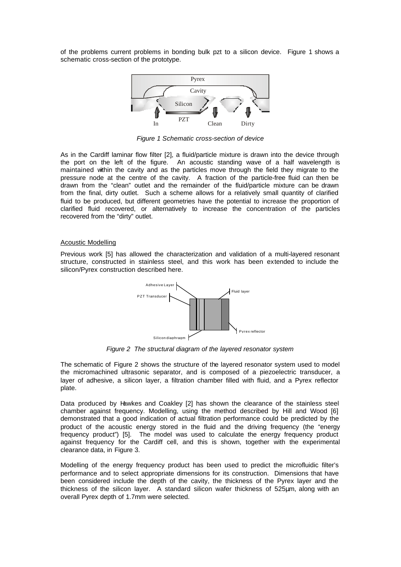of the problems current problems in bonding bulk pzt to a silicon device. Figure 1 shows a schematic cross-section of the prototype.



*Figure 1 Schematic cross-section of device*

As in the Cardiff laminar flow filter [2], a fluid/particle mixture is drawn into the device through the port on the left of the figure. An acoustic standing wave of a half wavelength is maintained within the cavity and as the particles move through the field they migrate to the pressure node at the centre of the cavity. A fraction of the particle-free fluid can then be drawn from the "clean" outlet and the remainder of the fluid/particle mixture can be drawn from the final, dirty outlet. Such a scheme allows for a relatively small quantity of clarified fluid to be produced, but different geometries have the potential to increase the proportion of clarified fluid recovered, or alternatively to increase the concentration of the particles recovered from the "dirty" outlet.

#### Acoustic Modelling

Previous work [5] has allowed the characterization and validation of a multi-layered resonant structure, constructed in stainless steel, and this work has been extended to include the silicon/Pyrex construction described here.



*Figure 2 The structural diagram of the layered resonator system*

The schematic of Figure 2 shows the structure of the layered resonator system used to model the micromachined ultrasonic separator, and is composed of a piezoelectric transducer, a layer of adhesive, a silicon layer, a filtration chamber filled with fluid, and a Pyrex reflector plate.

Data produced by Hawkes and Coakley [2] has shown the clearance of the stainless steel chamber against frequency. Modelling, using the method described by Hill and Wood [6] demonstrated that a good indication of actual filtration performance could be predicted by the product of the acoustic energy stored in the fluid and the driving frequency (the "energy frequency product") [5]. The model was used to calculate the energy frequency product against frequency for the Cardiff cell, and this is shown, together with the experimental clearance data, in Figure 3.

Modelling of the energy frequency product has been used to predict the microfluidic filter's performance and to select appropriate dimensions for its construction. Dimensions that have been considered include the depth of the cavity, the thickness of the Pyrex layer and the thickness of the silicon layer. A standard silicon wafer thickness of 525μm, along with an overall Pyrex depth of 1.7mm were selected.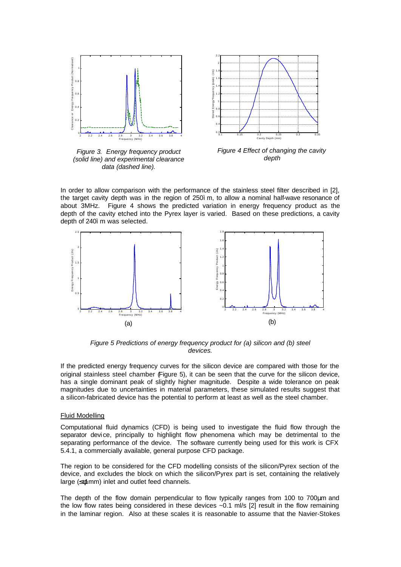

*Figure 3. Energy frequency product (solid line) and experimental clearance data (dashed line).*



*Figure 4 Effect of changing the cavity depth*

In order to allow comparison with the performance of the stainless steel filter described in [2], the target cavity depth was in the region of 250ìm, to allow a nominal half-wave resonance of about 3MHz. Figure 4 shows the predicted variation in energy frequency product as the depth of the cavity etched into the Pyrex layer is varied. Based on these predictions, a cavity depth of 240ì m was selected.



*Figure 5 Predictions of energy frequency product for (a) silicon and (b) steel devices.*

If the predicted energy frequency curves for the silicon device are compared with those for the original stainless steel chamber (Figure 5), it can be seen that the curve for the silicon device, has a single dominant peak of slightly higher magnitude. Despite a wide tolerance on peak magnitudes due to uncertainties in material parameters, these simulated results suggest that a silicon-fabricated device has the potential to perform at least as well as the steel chamber.

#### Fluid Modelling

Computational fluid dynamics (CFD) is being used to investigate the fluid flow through the separator device, principally to highlight flow phenomena which may be detrimental to the separating performance of the device. The software currently being used for this work is CFX 5.4.1, a commercially available, general purpose CFD package.

The region to be considered for the CFD modelling consists of the silicon/Pyrex section of the device, and excludes the block on which the silicon/Pyrex part is set, containing the relatively large (≤*f*(mm) inlet and outlet feed channels.

The depth of the flow domain perpendicular to flow typically ranges from 100 to 700μm and the low flow rates being considered in these devices ~0.1 ml/s [2] result in the flow remaining in the laminar region. Also at these scales it is reasonable to assume that the Navier-Stokes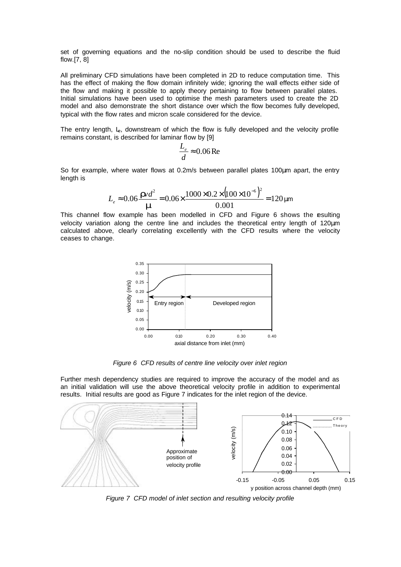set of governing equations and the no-slip condition should be used to describe the fluid flow.[7, 8]

All preliminary CFD simulations have been completed in 2D to reduce computation time. This has the effect of making the flow domain infinitely wide; ignoring the wall effects either side of the flow and making it possible to apply theory pertaining to flow between parallel plates. Initial simulations have been used to optimise the mesh parameters used to create the 2D model and also demonstrate the short distance over which the flow becomes fully developed, typical with the flow rates and micron scale considered for the device.

The entry length,  $L_{\rm e}$ , downstream of which the flow is fully developed and the velocity profile remains constant, is described for laminar flow by [9]

$$
\frac{L_e}{d} \approx 0.06 \text{Re}
$$

So for example, where water flows at 0.2m/s between parallel plates 100μm apart, the entry length is

$$
L_e \approx 0.06 \frac{\text{I} \times d^2}{\text{I} \times 1000 \times 10^{6} \times 10^{6}} = 0.06 \times \frac{1000 \times 0.2 \times (100 \times 10^{-6})^2}{0.001} = 120 \, \mu \text{m}
$$

This channel flow example has been modelled in CFD and Figure 6 shows the esulting velocity variation along the centre line and includes the theoretical entry length of 120μm calculated above, clearly correlating excellently with the CFD results where the velocity ceases to change.



*Figure 6 CFD results of centre line velocity over inlet region*

Further mesh dependency studies are required to improve the accuracy of the model and as an initial validation will use the above theoretical velocity profile in addition to experimental results. Initial results are good as Figure 7 indicates for the inlet region of the device.



*Figure 7 CFD model of inlet section and resulting velocity profile*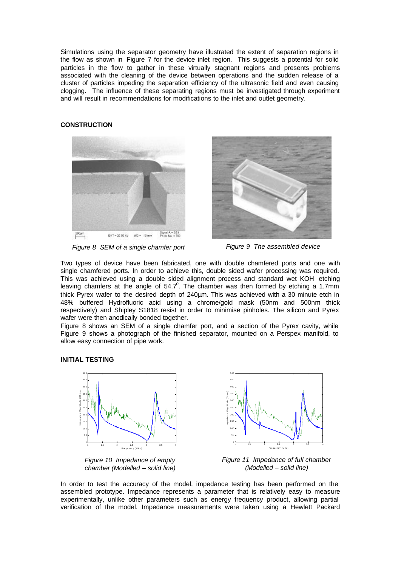Simulations using the separator geometry have illustrated the extent of separation regions in the flow as shown in Figure 7 for the device inlet region. This suggests a potential for solid particles in the flow to gather in these virtually stagnant regions and presents problems associated with the cleaning of the device between operations and the sudden release of a cluster of particles impeding the separation efficiency of the ultrasonic field and even causing clogging. The influence of these separating regions must be investigated through experiment and will result in recommendations for modifications to the inlet and outlet geometry.

#### **CONSTRUCTION**





*Figure 8 SEM of a single chamfer port Figure 9 The assembled device*

Two types of device have been fabricated, one with double chamfered ports and one with single chamfered ports. In order to achieve this, double sided wafer processing was required. This was achieved using a double sided alignment process and standard wet KOH etching leaving chamfers at the angle of 54.7°. The chamber was then formed by etching a 1.7mm thick Pyrex wafer to the desired depth of 240μm. This was achieved with a 30 minute etch in 48% buffered Hydrofluoric acid using a chrome/gold mask (50nm and 500nm thick respectively) and Shipley S1818 resist in order to minimise pinholes. The silicon and Pyrex wafer were then anodically bonded together.

Figure 8 shows an SEM of a single chamfer port, and a section of the Pyrex cavity, while Figure 9 shows a photograph of the finished separator, mounted on a Perspex manifold, to allow easy connection of pipe work.

#### **INITIAL TESTING**







*Figure 11 Impedance of full chamber (Modelled – solid line)*

In order to test the accuracy of the model, impedance testing has been performed on the assembled prototype. Impedance represents a parameter that is relatively easy to measure experimentally, unlike other parameters such as energy frequency product, allowing partial verification of the model. Impedance measurements were taken using a Hewlett Packard